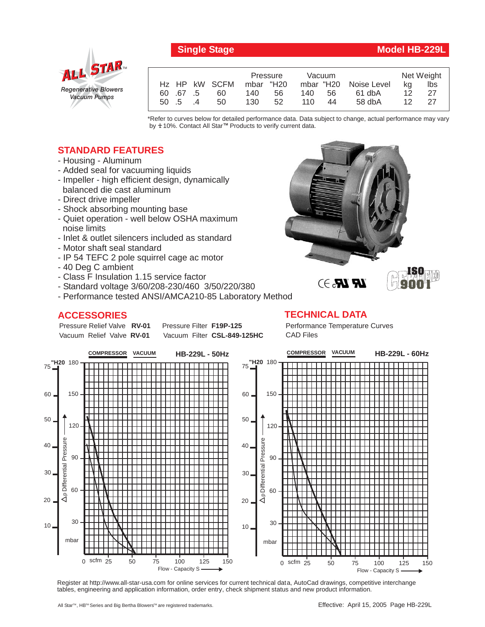

## **Single Stage Model HB-229L**

|         |   |               | Pressure  |    | Vacuum |    |                       | Net Weight      |      |
|---------|---|---------------|-----------|----|--------|----|-----------------------|-----------------|------|
|         |   | Hz HP kW SCFM | mbar "H20 |    |        |    | mbar "H20 Noise Level | ka              | lbs  |
| 60 67 5 |   | 60            | 140.      | 56 | 140    | 56 | 61 dbA                | 12 <sub>1</sub> | - 27 |
| 50 .5   | 4 | 50            | 130       | 52 | 110    | 44 | 58 dbA                | 12 <sup>°</sup> | -27  |

\*Refer to curves below for detailed performance data. Data subject to change, actual performance may vary by **+** 10%. Contact All Star™ Products to verify current data.

## **STANDARD FEATURES**

- Housing Aluminum
- Added seal for vacuuming liquids
- Impeller high efficient design, dynamically balanced die cast aluminum
- Direct drive impeller
- Shock absorbing mounting base
- Quiet operation well below OSHA maximum noise limits
- Inlet & outlet silencers included as standard
- Motor shaft seal standard
- IP 54 TEFC 2 pole squirrel cage ac motor
- 40 Deg C ambient
- Class F Insulation 1.15 service factor
- Standard voltage 3/60/208-230/460 3/50/220/380
- Performance tested ANSI/AMCA210-85 Laboratory Method

## **ACCESSORIES**

Pressure Relief Valve RV-01 Vacuum Relief Valve RV-01

**Pressure Filter F19P-125** Vacuum Filter CSL-849-125HC



**TECHNICAL DATA**

Performance Temperature Curves CAD Files



Register at http://www.all-star-usa.com for online services for current technical data, AutoCad drawings, competitive interchange tables, engineering and application information, order entry, check shipment status and new product information.

All Star™, HB™ Series and Big Bertha Blowers™ are registered trademarks.